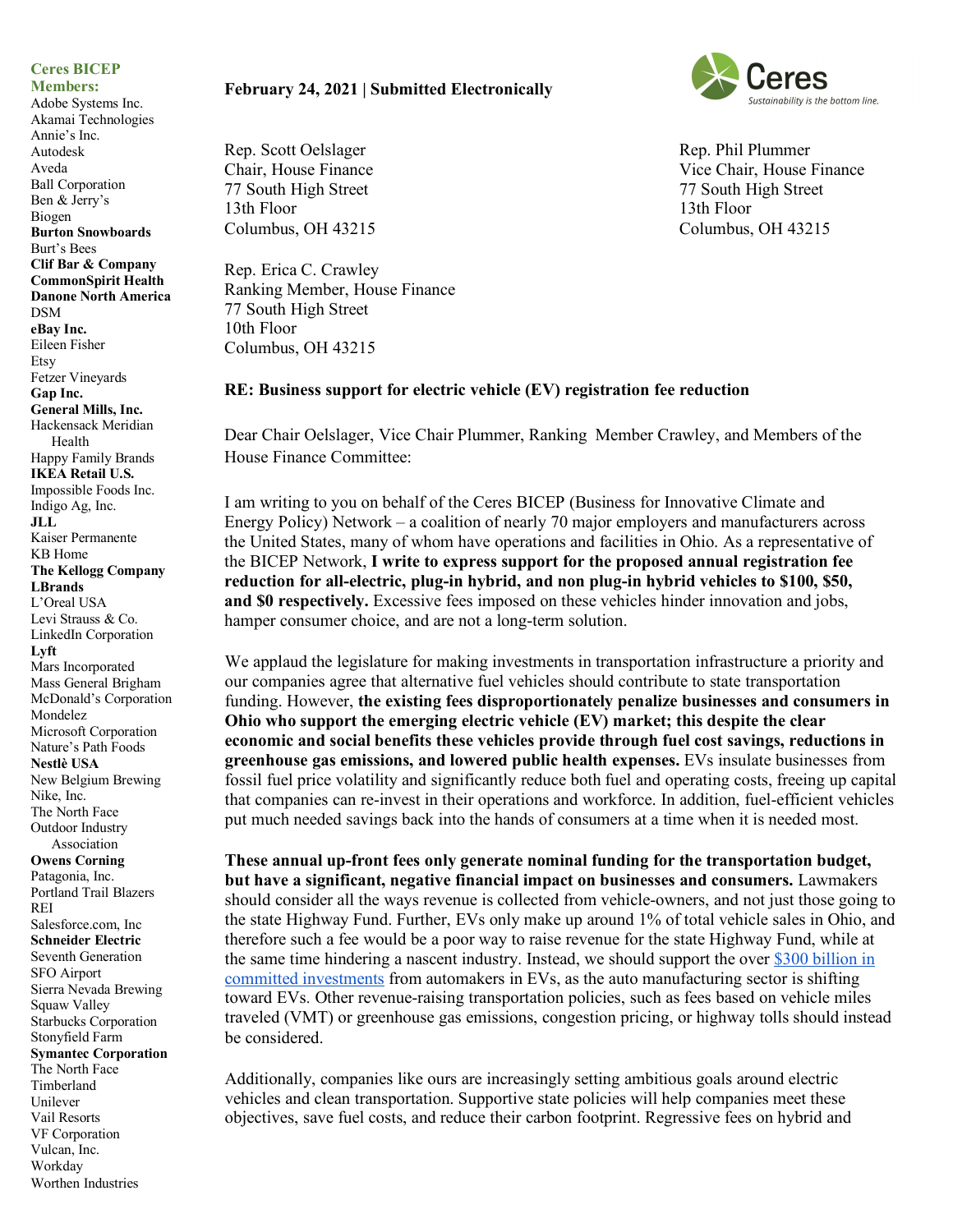## **Ceres BICEP**

**Members:**

Adobe Systems Inc. Akamai Technologies Annie's Inc. Autodesk Aveda Ball Corporation Ben & Jerry's Biogen **Burton Snowboards** Burt's Bees **Clif Bar & Company CommonSpirit Health Danone North America** DSM **eBay Inc.** Eileen Fisher Etsy Fetzer Vineyards **Gap Inc. General Mills, Inc.**  Hackensack Meridian Health Happy Family Brands **IKEA Retail U.S.** Impossible Foods Inc. Indigo Ag, Inc. **JLL** Kaiser Permanente KB Home **The Kellogg Company LBrands** L'Oreal USA Levi Strauss & Co. LinkedIn Corporation **Lyft** Mars Incorporated Mass General Brigham McDonald's Corporation Mondelez Microsoft Corporation Nature's Path Foods **Nestlè USA** New Belgium Brewing Nike, Inc. The North Face Outdoor Industry Association **Owens Corning** Patagonia, Inc. Portland Trail Blazers REI Salesforce.com, Inc **Schneider Electric** Seventh Generation SFO Airport Sierra Nevada Brewing Squaw Valley Starbucks Corporation Stonyfield Farm **Symantec Corporation** The North Face Timberland Unilever Vail Resorts VF Corporation Vulcan, Inc. Workday Worthen Industries

## **February 24, 2021 | Submitted Electronically**

Rep. Scott Oelslager Chair, House Finance 77 South High Street 13th Floor Columbus, OH 43215

Rep. Erica C. Crawley Ranking Member, House Finance 77 South High Street 10th Floor Columbus, OH 43215

## **RE: Business support for electric vehicle (EV) registration fee reduction**

Dear Chair Oelslager, Vice Chair Plummer, Ranking Member Crawley, and Members of the House Finance Committee:

I am writing to you on behalf of the Ceres BICEP (Business for Innovative Climate and Energy Policy) Network – a coalition of nearly 70 major employers and manufacturers across the United States, many of whom have operations and facilities in Ohio. As a representative of the BICEP Network, **I write to express support for the proposed annual registration fee reduction for all-electric, plug-in hybrid, and non plug-in hybrid vehicles to \$100, \$50, and \$0 respectively.** Excessive fees imposed on these vehicles hinder innovation and jobs, hamper consumer choice, and are not a long-term solution.

We applaud the legislature for making investments in transportation infrastructure a priority and our companies agree that alternative fuel vehicles should contribute to state transportation funding. However, **the existing fees disproportionately penalize businesses and consumers in Ohio who support the emerging electric vehicle (EV) market; this despite the clear economic and social benefits these vehicles provide through fuel cost savings, reductions in greenhouse gas emissions, and lowered public health expenses.** EVs insulate businesses from fossil fuel price volatility and significantly reduce both fuel and operating costs, freeing up capital that companies can re-invest in their operations and workforce. In addition, fuel-efficient vehicles put much needed savings back into the hands of consumers at a time when it is needed most.

**These annual up-front fees only generate nominal funding for the transportation budget, but have a significant, negative financial impact on businesses and consumers.** Lawmakers should consider all the ways revenue is collected from vehicle-owners, and not just those going to the state Highway Fund. Further, EVs only make up around 1% of total vehicle sales in Ohio, and therefore such a fee would be a poor way to raise revenue for the state Highway Fund, while at the same time hindering a nascent industry. Instead, we should support the over \$300 billion in committed investments from automakers in EVs, as the auto manufacturing sector is shifting toward EVs. Other revenue-raising transportation policies, such as fees based on vehicle miles traveled (VMT) or greenhouse gas emissions, congestion pricing, or highway tolls should instead be considered.

Additionally, companies like ours are increasingly setting ambitious goals around electric vehicles and clean transportation. Supportive state policies will help companies meet these objectives, save fuel costs, and reduce their carbon footprint. Regressive fees on hybrid and



Rep. Phil Plummer Vice Chair, House Finance 77 South High Street 13th Floor Columbus, OH 43215